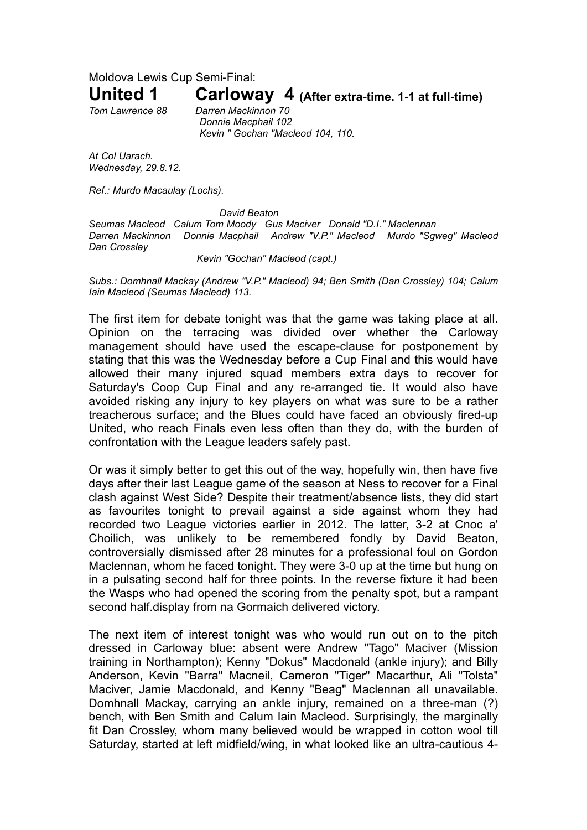Moldova Lewis Cup Semi-Final:

## **United 1 Carloway 4 (After extra-time. 1-1 at full-time)**

*Tom Lawrence 88 Darren Mackinnon 70 Donnie Macphail 102 Kevin " Gochan "Macleod 104, 110.*

*At Col Uarach. Wednesday, 29.8.12.*

*Ref.: Murdo Macaulay (Lochs).*

*David Beaton*

*Seumas Macleod Calum Tom Moody Gus Maciver Donald "D.I." Maclennan Darren Mackinnon Donnie Macphail Andrew "V.P." Macleod Murdo "Sgweg" Macleod Dan Crossley*

*Kevin "Gochan" Macleod (capt.)*

*Subs.: Domhnall Mackay (Andrew "V.P." Macleod) 94; Ben Smith (Dan Crossley) 104; Calum Iain Macleod (Seumas Macleod) 113.*

The first item for debate tonight was that the game was taking place at all. Opinion on the terracing was divided over whether the Carloway management should have used the escape-clause for postponement by stating that this was the Wednesday before a Cup Final and this would have allowed their many injured squad members extra days to recover for Saturday's Coop Cup Final and any re-arranged tie. It would also have avoided risking any injury to key players on what was sure to be a rather treacherous surface; and the Blues could have faced an obviously fired-up United, who reach Finals even less often than they do, with the burden of confrontation with the League leaders safely past.

Or was it simply better to get this out of the way, hopefully win, then have five days after their last League game of the season at Ness to recover for a Final clash against West Side? Despite their treatment/absence lists, they did start as favourites tonight to prevail against a side against whom they had recorded two League victories earlier in 2012. The latter, 3-2 at Cnoc a' Choilich, was unlikely to be remembered fondly by David Beaton, controversially dismissed after 28 minutes for a professional foul on Gordon Maclennan, whom he faced tonight. They were 3-0 up at the time but hung on in a pulsating second half for three points. In the reverse fixture it had been the Wasps who had opened the scoring from the penalty spot, but a rampant second half.display from na Gormaich delivered victory.

The next item of interest tonight was who would run out on to the pitch dressed in Carloway blue: absent were Andrew "Tago" Maciver (Mission training in Northampton); Kenny "Dokus" Macdonald (ankle injury); and Billy Anderson, Kevin "Barra" Macneil, Cameron "Tiger" Macarthur, Ali "Tolsta" Maciver, Jamie Macdonald, and Kenny "Beag" Maclennan all unavailable. Domhnall Mackay, carrying an ankle injury, remained on a three-man (?) bench, with Ben Smith and Calum Iain Macleod. Surprisingly, the marginally fit Dan Crossley, whom many believed would be wrapped in cotton wool till Saturday, started at left midfield/wing, in what looked like an ultra-cautious 4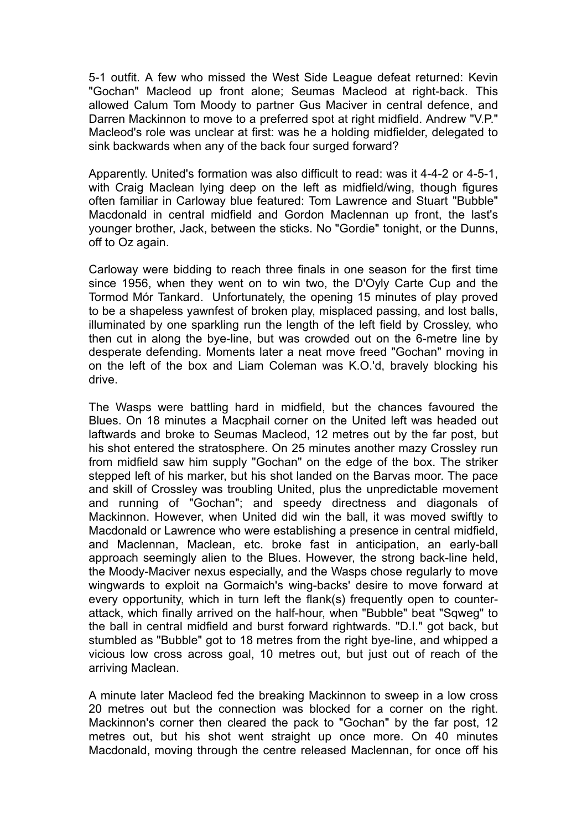5-1 outfit. A few who missed the West Side League defeat returned: Kevin "Gochan" Macleod up front alone; Seumas Macleod at right-back. This allowed Calum Tom Moody to partner Gus Maciver in central defence, and Darren Mackinnon to move to a preferred spot at right midfield. Andrew "V.P." Macleod's role was unclear at first: was he a holding midfielder, delegated to sink backwards when any of the back four surged forward?

Apparently. United's formation was also difficult to read: was it 4-4-2 or 4-5-1, with Craig Maclean lying deep on the left as midfield/wing, though figures often familiar in Carloway blue featured: Tom Lawrence and Stuart "Bubble" Macdonald in central midfield and Gordon Maclennan up front, the last's younger brother, Jack, between the sticks. No "Gordie" tonight, or the Dunns, off to Oz again.

Carloway were bidding to reach three finals in one season for the first time since 1956, when they went on to win two, the D'Oyly Carte Cup and the Tormod Mór Tankard. Unfortunately, the opening 15 minutes of play proved to be a shapeless yawnfest of broken play, misplaced passing, and lost balls, illuminated by one sparkling run the length of the left field by Crossley, who then cut in along the bye-line, but was crowded out on the 6-metre line by desperate defending. Moments later a neat move freed "Gochan" moving in on the left of the box and Liam Coleman was K.O.'d, bravely blocking his drive.

The Wasps were battling hard in midfield, but the chances favoured the Blues. On 18 minutes a Macphail corner on the United left was headed out laftwards and broke to Seumas Macleod, 12 metres out by the far post, but his shot entered the stratosphere. On 25 minutes another mazy Crossley run from midfield saw him supply "Gochan" on the edge of the box. The striker stepped left of his marker, but his shot landed on the Barvas moor. The pace and skill of Crossley was troubling United, plus the unpredictable movement and running of "Gochan"; and speedy directness and diagonals of Mackinnon. However, when United did win the ball, it was moved swiftly to Macdonald or Lawrence who were establishing a presence in central midfield, and Maclennan, Maclean, etc. broke fast in anticipation, an early-ball approach seemingly alien to the Blues. However, the strong back-line held, the Moody-Maciver nexus especially, and the Wasps chose regularly to move wingwards to exploit na Gormaich's wing-backs' desire to move forward at every opportunity, which in turn left the flank(s) frequently open to counterattack, which finally arrived on the half-hour, when "Bubble" beat "Sqweg" to the ball in central midfield and burst forward rightwards. "D.I." got back, but stumbled as "Bubble" got to 18 metres from the right bye-line, and whipped a vicious low cross across goal, 10 metres out, but just out of reach of the arriving Maclean.

A minute later Macleod fed the breaking Mackinnon to sweep in a low cross 20 metres out but the connection was blocked for a corner on the right. Mackinnon's corner then cleared the pack to "Gochan" by the far post, 12 metres out, but his shot went straight up once more. On 40 minutes Macdonald, moving through the centre released Maclennan, for once off his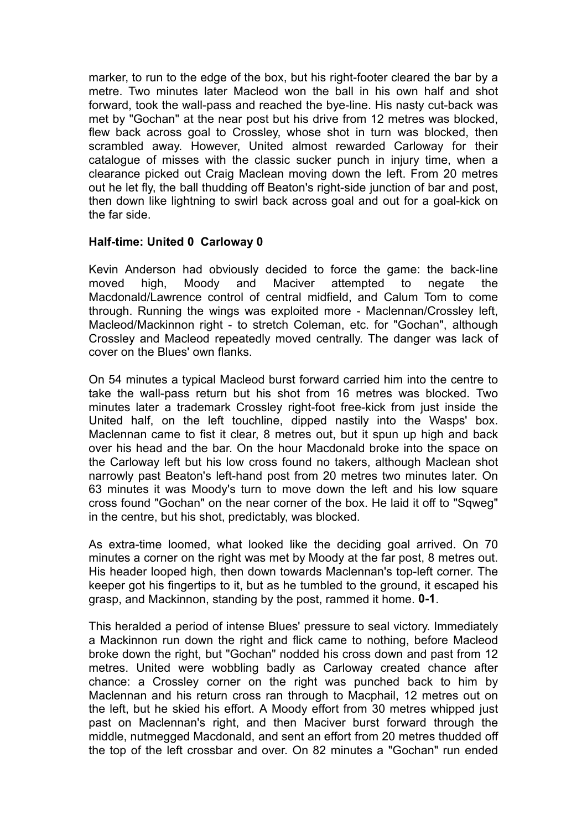marker, to run to the edge of the box, but his right-footer cleared the bar by a metre. Two minutes later Macleod won the ball in his own half and shot forward, took the wall-pass and reached the bye-line. His nasty cut-back was met by "Gochan" at the near post but his drive from 12 metres was blocked, flew back across goal to Crossley, whose shot in turn was blocked, then scrambled away. However, United almost rewarded Carloway for their catalogue of misses with the classic sucker punch in injury time, when a clearance picked out Craig Maclean moving down the left. From 20 metres out he let fly, the ball thudding off Beaton's right-side junction of bar and post, then down like lightning to swirl back across goal and out for a goal-kick on the far side.

## **Half-time: United 0 Carloway 0**

Kevin Anderson had obviously decided to force the game: the back-line moved high, Moody and Maciver attempted to negate the Macdonald/Lawrence control of central midfield, and Calum Tom to come through. Running the wings was exploited more - Maclennan/Crossley left, Macleod/Mackinnon right - to stretch Coleman, etc. for "Gochan", although Crossley and Macleod repeatedly moved centrally. The danger was lack of cover on the Blues' own flanks.

On 54 minutes a typical Macleod burst forward carried him into the centre to take the wall-pass return but his shot from 16 metres was blocked. Two minutes later a trademark Crossley right-foot free-kick from just inside the United half, on the left touchline, dipped nastily into the Wasps' box. Maclennan came to fist it clear, 8 metres out, but it spun up high and back over his head and the bar. On the hour Macdonald broke into the space on the Carloway left but his low cross found no takers, although Maclean shot narrowly past Beaton's left-hand post from 20 metres two minutes later. On 63 minutes it was Moody's turn to move down the left and his low square cross found "Gochan" on the near corner of the box. He laid it off to "Sqweg" in the centre, but his shot, predictably, was blocked.

As extra-time loomed, what looked like the deciding goal arrived. On 70 minutes a corner on the right was met by Moody at the far post, 8 metres out. His header looped high, then down towards Maclennan's top-left corner. The keeper got his fingertips to it, but as he tumbled to the ground, it escaped his grasp, and Mackinnon, standing by the post, rammed it home. **0-1**.

This heralded a period of intense Blues' pressure to seal victory. Immediately a Mackinnon run down the right and flick came to nothing, before Macleod broke down the right, but "Gochan" nodded his cross down and past from 12 metres. United were wobbling badly as Carloway created chance after chance: a Crossley corner on the right was punched back to him by Maclennan and his return cross ran through to Macphail, 12 metres out on the left, but he skied his effort. A Moody effort from 30 metres whipped just past on Maclennan's right, and then Maciver burst forward through the middle, nutmegged Macdonald, and sent an effort from 20 metres thudded off the top of the left crossbar and over. On 82 minutes a "Gochan" run ended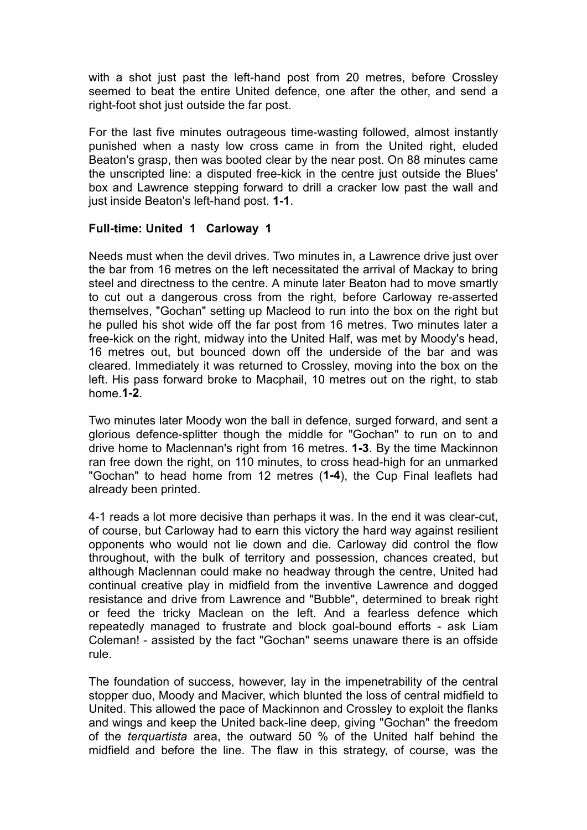with a shot just past the left-hand post from 20 metres, before Crossley seemed to beat the entire United defence, one after the other, and send a right-foot shot just outside the far post.

For the last five minutes outrageous time-wasting followed, almost instantly punished when a nasty low cross came in from the United right, eluded Beaton's grasp, then was booted clear by the near post. On 88 minutes came the unscripted line: a disputed free-kick in the centre just outside the Blues' box and Lawrence stepping forward to drill a cracker low past the wall and just inside Beaton's left-hand post. **1-1**.

## **Full-time: United 1 Carloway 1**

Needs must when the devil drives. Two minutes in, a Lawrence drive just over the bar from 16 metres on the left necessitated the arrival of Mackay to bring steel and directness to the centre. A minute later Beaton had to move smartly to cut out a dangerous cross from the right, before Carloway re-asserted themselves, "Gochan" setting up Macleod to run into the box on the right but he pulled his shot wide off the far post from 16 metres. Two minutes later a free-kick on the right, midway into the United Half, was met by Moody's head, 16 metres out, but bounced down off the underside of the bar and was cleared. Immediately it was returned to Crossley, moving into the box on the left. His pass forward broke to Macphail, 10 metres out on the right, to stab home.**1-2**.

Two minutes later Moody won the ball in defence, surged forward, and sent a glorious defence-splitter though the middle for "Gochan" to run on to and drive home to Maclennan's right from 16 metres. **1-3**. By the time Mackinnon ran free down the right, on 110 minutes, to cross head-high for an unmarked "Gochan" to head home from 12 metres (**1-4**), the Cup Final leaflets had already been printed.

4-1 reads a lot more decisive than perhaps it was. In the end it was clear-cut, of course, but Carloway had to earn this victory the hard way against resilient opponents who would not lie down and die. Carloway did control the flow throughout, with the bulk of territory and possession, chances created, but although Maclennan could make no headway through the centre, United had continual creative play in midfield from the inventive Lawrence and dogged resistance and drive from Lawrence and "Bubble", determined to break right or feed the tricky Maclean on the left. And a fearless defence which repeatedly managed to frustrate and block goal-bound efforts - ask Liam Coleman! - assisted by the fact "Gochan" seems unaware there is an offside rule.

The foundation of success, however, lay in the impenetrability of the central stopper duo, Moody and Maciver, which blunted the loss of central midfield to United. This allowed the pace of Mackinnon and Crossley to exploit the flanks and wings and keep the United back-line deep, giving "Gochan" the freedom of the *terquartista* area, the outward 50 % of the United half behind the midfield and before the line. The flaw in this strategy, of course, was the